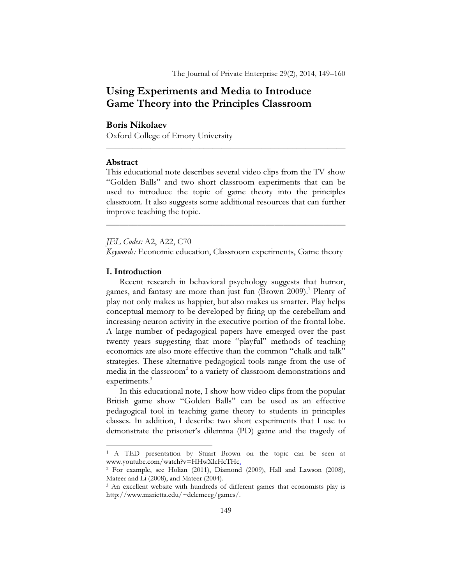# Using Experiments and Media to Introduce Game Theory into the Principles Classroom

# Boris Nikolaev

Oxford College of Emory University

# Abstract

This educational note describes several video clips from the TV show "Golden Balls" and two short classroom experiments that can be used to introduce the topic of game theory into the principles classroom. It also suggests some additional resources that can further improve teaching the topic.

\_\_\_\_\_\_\_\_\_\_\_\_\_\_\_\_\_\_\_\_\_\_\_\_\_\_\_\_\_\_\_\_\_\_\_\_\_\_\_\_\_\_\_\_\_\_\_\_\_\_\_\_\_\_

\_\_\_\_\_\_\_\_\_\_\_\_\_\_\_\_\_\_\_\_\_\_\_\_\_\_\_\_\_\_\_\_\_\_\_\_\_\_\_\_\_\_\_\_\_\_\_\_\_\_\_\_\_\_

JEL Codes: A2, A22, C70

Keywords: Economic education, Classroom experiments, Game theory

# I. Introduction

 $\overline{a}$ 

Recent research in behavioral psychology suggests that humor, games, and fantasy are more than just fun (Brown 2009).<sup>1</sup> Plenty of play not only makes us happier, but also makes us smarter. Play helps conceptual memory to be developed by firing up the cerebellum and increasing neuron activity in the executive portion of the frontal lobe. A large number of pedagogical papers have emerged over the past twenty years suggesting that more "playful" methods of teaching economics are also more effective than the common "chalk and talk" strategies. These alternative pedagogical tools range from the use of media in the classroom<sup>2</sup> to a variety of classroom demonstrations and experiments.<sup>3</sup>

In this educational note, I show how video clips from the popular British game show "Golden Balls" can be used as an effective pedagogical tool in teaching game theory to students in principles classes. In addition, I describe two short experiments that I use to demonstrate the prisoner's dilemma (PD) game and the tragedy of

<sup>1</sup> A TED presentation by Stuart Brown on the topic can be seen at www.youtube.com/watch?v=HHwXlcHcTHc.

<sup>2</sup> For example, see Holian (2011), Diamond (2009), Hall and Lawson (2008), Mateer and Li (2008), and Mateer (2004).

<sup>&</sup>lt;sup>3</sup> An excellent website with hundreds of different games that economists play is http://www.marietta.edu/~delemeeg/games/.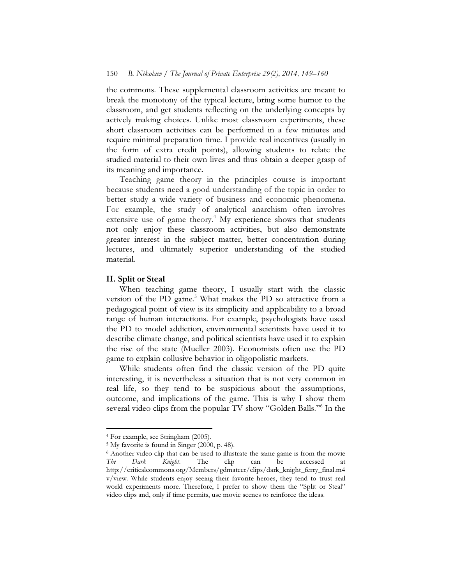the commons. These supplemental classroom activities are meant to break the monotony of the typical lecture, bring some humor to the classroom, and get students reflecting on the underlying concepts by actively making choices. Unlike most classroom experiments, these short classroom activities can be performed in a few minutes and require minimal preparation time. I provide real incentives (usually in the form of extra credit points), allowing students to relate the studied material to their own lives and thus obtain a deeper grasp of its meaning and importance.

Teaching game theory in the principles course is important because students need a good understanding of the topic in order to better study a wide variety of business and economic phenomena. For example, the study of analytical anarchism often involves extensive use of game theory.<sup>4</sup> My experience shows that students not only enjoy these classroom activities, but also demonstrate greater interest in the subject matter, better concentration during lectures, and ultimately superior understanding of the studied material.

# II. Split or Steal

When teaching game theory, I usually start with the classic version of the PD game.<sup>5</sup> What makes the PD so attractive from a pedagogical point of view is its simplicity and applicability to a broad range of human interactions. For example, psychologists have used the PD to model addiction, environmental scientists have used it to describe climate change, and political scientists have used it to explain the rise of the state (Mueller 2003). Economists often use the PD game to explain collusive behavior in oligopolistic markets.

While students often find the classic version of the PD quite interesting, it is nevertheless a situation that is not very common in real life, so they tend to be suspicious about the assumptions, outcome, and implications of the game. This is why I show them several video clips from the popular TV show "Golden Balls."<sup>6</sup> In the

 $\overline{a}$ 

<sup>4</sup> For example, see Stringham (2005).

<sup>5</sup> My favorite is found in Singer (2000, p. 48).

<sup>&</sup>lt;sup>6</sup> Another video clip that can be used to illustrate the same game is from the movie The Dark Knight. The clip can be accessed at http://criticalcommons.org/Members/gdmateer/clips/dark\_knight\_ferry\_final.m4 v/view. While students enjoy seeing their favorite heroes, they tend to trust real world experiments more. Therefore, I prefer to show them the "Split or Steal" video clips and, only if time permits, use movie scenes to reinforce the ideas.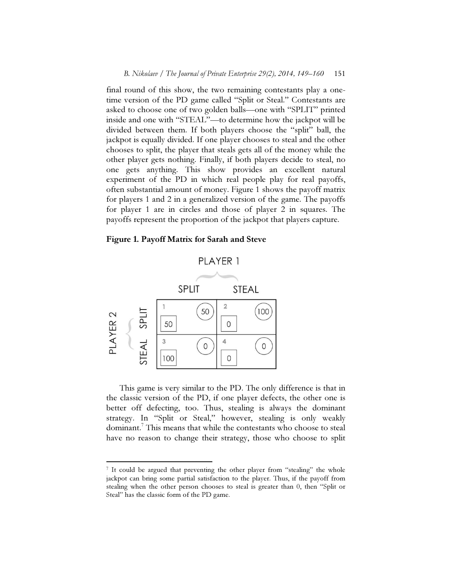final round of this show, the two remaining contestants play a onetime version of the PD game called "Split or Steal." Contestants are asked to choose one of two golden balls—one with "SPLIT" printed inside and one with "STEAL"—to determine how the jackpot will be divided between them. If both players choose the "split" ball, the jackpot is equally divided. If one player chooses to steal and the other chooses to split, the player that steals gets all of the money while the other player gets nothing. Finally, if both players decide to steal, no one gets anything. This show provides an excellent natural experiment of the PD in which real people play for real payoffs, often substantial amount of money. Figure 1 shows the payoff matrix for players 1 and 2 in a generalized version of the game. The payoffs for player 1 are in circles and those of player 2 in squares. The payoffs represent the proportion of the jackpot that players capture.

#### Figure 1. Payoff Matrix for Sarah and Steve



 $\overline{a}$ 

This game is very similar to the PD. The only difference is that in the classic version of the PD, if one player defects, the other one is better off defecting, too. Thus, stealing is always the dominant strategy. In "Split or Steal," however, stealing is only weakly dominant.<sup>7</sup> This means that while the contestants who choose to steal have no reason to change their strategy, those who choose to split

<sup>&</sup>lt;sup>7</sup> It could be argued that preventing the other player from "stealing" the whole jackpot can bring some partial satisfaction to the player. Thus, if the payoff from stealing when the other person chooses to steal is greater than 0, then "Split or Steal" has the classic form of the PD game.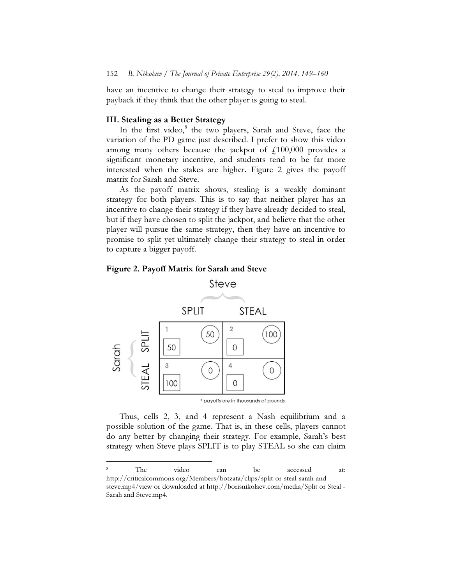have an incentive to change their strategy to steal to improve their payback if they think that the other player is going to steal.

# III. Stealing as a Better Strategy

In the first video,<sup>8</sup> the two players, Sarah and Steve, face the variation of the PD game just described. I prefer to show this video among many others because the jackpot of  $f<sub>1</sub>100,000$  provides a significant monetary incentive, and students tend to be far more interested when the stakes are higher. Figure 2 gives the payoff matrix for Sarah and Steve.

As the payoff matrix shows, stealing is a weakly dominant strategy for both players. This is to say that neither player has an incentive to change their strategy if they have already decided to steal, but if they have chosen to split the jackpot, and believe that the other player will pursue the same strategy, then they have an incentive to promise to split yet ultimately change their strategy to steal in order to capture a bigger payoff.





 $\overline{a}$ 

Thus, cells 2, 3, and 4 represent a Nash equilibrium and a possible solution of the game. That is, in these cells, players cannot do any better by changing their strategy. For example, Sarah's best strategy when Steve plays SPLIT is to play STEAL so she can claim

<sup>8</sup> The video can be accessed at: http://criticalcommons.org/Members/botzata/clips/split-or-steal-sarah-andsteve.mp4/view or downloaded at http://borisnikolaev.com/media/Split or Steal - Sarah and Steve.mp4.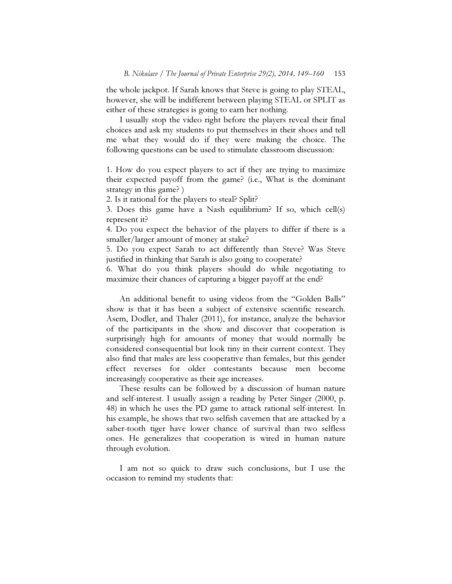the whole jackpot. If Sarah knows that Steve is going to play STEAL, however, she will be indifferent between playing STEAL or SPLIT as either of these strategies is going to earn her nothing.

I usually stop the video right before the players reveal their final choices and ask my students to put themselves in their shoes and tell me what they would do if they were making the choice. The following questions can be used to stimulate classroom discussion:

1. How do you expect players to act if they are trying to maximize their expected payoff from the game? (i.e., What is the dominant strategy in this game? )

2. Is it rational for the players to steal? Split?

3. Does this game have a Nash equilibrium? If so, which cell(s) represent it?

4. Do you expect the behavior of the players to differ if there is a smaller/larger amount of money at stake?

5. Do you expect Sarah to act differently than Steve? Was Steve justified in thinking that Sarah is also going to cooperate?

6. What do you think players should do while negotiating to maximize their chances of capturing a bigger payoff at the end?

An additional benefit to using videos from the "Golden Balls" show is that it has been a subject of extensive scientific research. Asem, Dodler, and Thaler (2011), for instance, analyze the behavior of the participants in the show and discover that cooperation is surprisingly high for amounts of money that would normally be considered consequential but look tiny in their current context. They also find that males are less cooperative than females, but this gender effect reverses for older contestants because men become increasingly cooperative as their age increases.

These results can be followed by a discussion of human nature and self-interest. I usually assign a reading by Peter Singer (2000, p. 48) in which he uses the PD game to attack rational self-interest. In his example, he shows that two selfish cavemen that are attacked by a saber-tooth tiger have lower chance of survival than two selfless ones. He generalizes that cooperation is wired in human nature through evolution.

I am not so quick to draw such conclusions, but I use the occasion to remind my students that: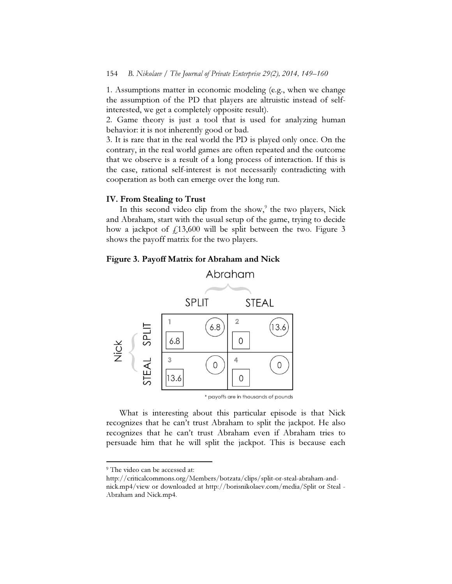1. Assumptions matter in economic modeling (e.g., when we change the assumption of the PD that players are altruistic instead of selfinterested, we get a completely opposite result).

2. Game theory is just a tool that is used for analyzing human behavior: it is not inherently good or bad.

3. It is rare that in the real world the PD is played only once. On the contrary, in the real world games are often repeated and the outcome that we observe is a result of a long process of interaction. If this is the case, rational self-interest is not necessarily contradicting with cooperation as both can emerge over the long run.

### IV. From Stealing to Trust

In this second video clip from the show,<sup>9</sup> the two players, Nick and Abraham, start with the usual setup of the game, trying to decide how a jackpot of  $f13,600$  will be split between the two. Figure 3 shows the payoff matrix for the two players.





What is interesting about this particular episode is that Nick recognizes that he can't trust Abraham to split the jackpot. He also recognizes that he can't trust Abraham even if Abraham tries to persuade him that he will split the jackpot. This is because each

 $\overline{a}$ 

<sup>&</sup>lt;sup>9</sup> The video can be accessed at:

http://criticalcommons.org/Members/botzata/clips/split-or-steal-abraham-andnick.mp4/view or downloaded at http://borisnikolaev.com/media/Split or Steal - Abraham and Nick.mp4.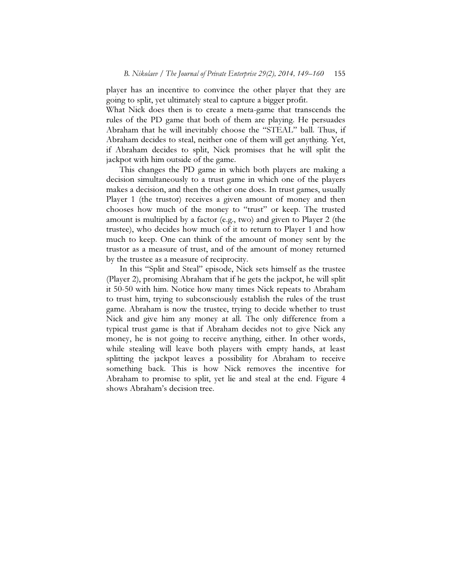player has an incentive to convince the other player that they are going to split, yet ultimately steal to capture a bigger profit.

What Nick does then is to create a meta-game that transcends the rules of the PD game that both of them are playing. He persuades Abraham that he will inevitably choose the "STEAL" ball. Thus, if Abraham decides to steal, neither one of them will get anything. Yet, if Abraham decides to split, Nick promises that he will split the jackpot with him outside of the game.

This changes the PD game in which both players are making a decision simultaneously to a trust game in which one of the players makes a decision, and then the other one does. In trust games, usually Player 1 (the trustor) receives a given amount of money and then chooses how much of the money to "trust" or keep. The trusted amount is multiplied by a factor (e.g., two) and given to Player 2 (the trustee), who decides how much of it to return to Player 1 and how much to keep. One can think of the amount of money sent by the trustor as a measure of trust, and of the amount of money returned by the trustee as a measure of reciprocity.

In this "Split and Steal" episode, Nick sets himself as the trustee (Player 2), promising Abraham that if he gets the jackpot, he will split it 50-50 with him. Notice how many times Nick repeats to Abraham to trust him, trying to subconsciously establish the rules of the trust game. Abraham is now the trustee, trying to decide whether to trust Nick and give him any money at all. The only difference from a typical trust game is that if Abraham decides not to give Nick any money, he is not going to receive anything, either. In other words, while stealing will leave both players with empty hands, at least splitting the jackpot leaves a possibility for Abraham to receive something back. This is how Nick removes the incentive for Abraham to promise to split, yet lie and steal at the end. Figure 4 shows Abraham's decision tree.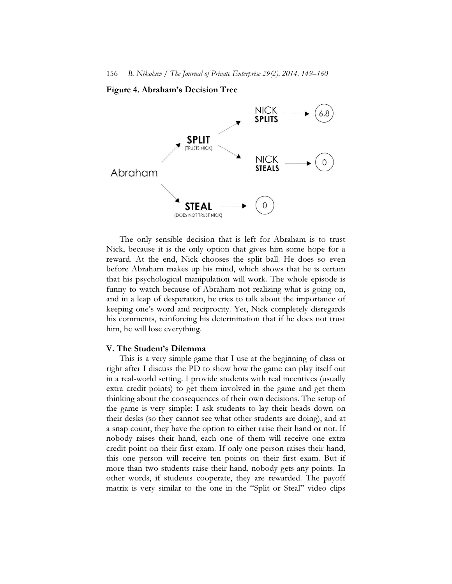#### Figure 4. Abraham's Decision Tree



The only sensible decision that is left for Abraham is to trust Nick, because it is the only option that gives him some hope for a reward. At the end, Nick chooses the split ball. He does so even before Abraham makes up his mind, which shows that he is certain that his psychological manipulation will work. The whole episode is funny to watch because of Abraham not realizing what is going on, and in a leap of desperation, he tries to talk about the importance of keeping one's word and reciprocity. Yet, Nick completely disregards his comments, reinforcing his determination that if he does not trust him, he will lose everything.

#### V. The Student's Dilemma

This is a very simple game that I use at the beginning of class or right after I discuss the PD to show how the game can play itself out in a real-world setting. I provide students with real incentives (usually extra credit points) to get them involved in the game and get them thinking about the consequences of their own decisions. The setup of the game is very simple: I ask students to lay their heads down on their desks (so they cannot see what other students are doing), and at a snap count, they have the option to either raise their hand or not. If nobody raises their hand, each one of them will receive one extra credit point on their first exam. If only one person raises their hand, this one person will receive ten points on their first exam. But if more than two students raise their hand, nobody gets any points. In other words, if students cooperate, they are rewarded. The payoff matrix is very similar to the one in the "Split or Steal" video clips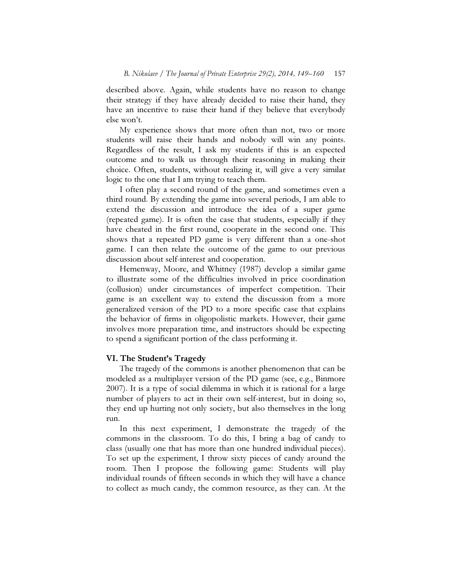described above. Again, while students have no reason to change their strategy if they have already decided to raise their hand, they have an incentive to raise their hand if they believe that everybody else won't.

My experience shows that more often than not, two or more students will raise their hands and nobody will win any points. Regardless of the result, I ask my students if this is an expected outcome and to walk us through their reasoning in making their choice. Often, students, without realizing it, will give a very similar logic to the one that I am trying to teach them.

I often play a second round of the game, and sometimes even a third round. By extending the game into several periods, I am able to extend the discussion and introduce the idea of a super game (repeated game). It is often the case that students, especially if they have cheated in the first round, cooperate in the second one. This shows that a repeated PD game is very different than a one-shot game. I can then relate the outcome of the game to our previous discussion about self-interest and cooperation.

Hemenway, Moore, and Whitney (1987) develop a similar game to illustrate some of the difficulties involved in price coordination (collusion) under circumstances of imperfect competition. Their game is an excellent way to extend the discussion from a more generalized version of the PD to a more specific case that explains the behavior of firms in oligopolistic markets. However, their game involves more preparation time, and instructors should be expecting to spend a significant portion of the class performing it.

#### VI. The Student's Tragedy

 The tragedy of the commons is another phenomenon that can be modeled as a multiplayer version of the PD game (see, e.g., Binmore 2007). It is a type of social dilemma in which it is rational for a large number of players to act in their own self-interest, but in doing so, they end up hurting not only society, but also themselves in the long run.

 In this next experiment, I demonstrate the tragedy of the commons in the classroom. To do this, I bring a bag of candy to class (usually one that has more than one hundred individual pieces). To set up the experiment, I throw sixty pieces of candy around the room. Then I propose the following game: Students will play individual rounds of fifteen seconds in which they will have a chance to collect as much candy, the common resource, as they can. At the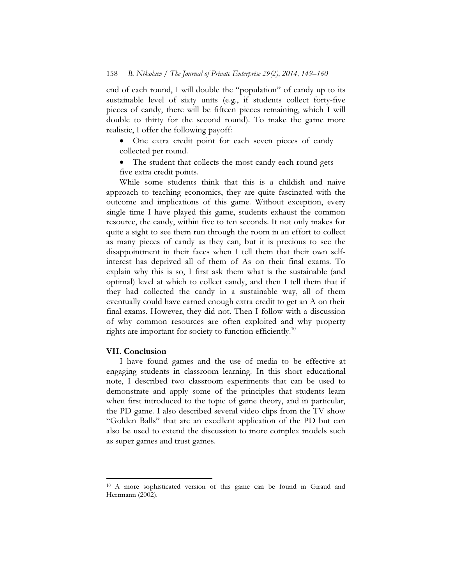end of each round, I will double the "population" of candy up to its sustainable level of sixty units (e.g., if students collect forty-five pieces of candy, there will be fifteen pieces remaining, which I will double to thirty for the second round). To make the game more realistic, I offer the following payoff:

- One extra credit point for each seven pieces of candy collected per round.
- The student that collects the most candy each round gets five extra credit points.

 While some students think that this is a childish and naive approach to teaching economics, they are quite fascinated with the outcome and implications of this game. Without exception, every single time I have played this game, students exhaust the common resource, the candy, within five to ten seconds. It not only makes for quite a sight to see them run through the room in an effort to collect as many pieces of candy as they can, but it is precious to see the disappointment in their faces when I tell them that their own selfinterest has deprived all of them of As on their final exams. To explain why this is so, I first ask them what is the sustainable (and optimal) level at which to collect candy, and then I tell them that if they had collected the candy in a sustainable way, all of them eventually could have earned enough extra credit to get an A on their final exams. However, they did not. Then I follow with a discussion of why common resources are often exploited and why property rights are important for society to function efficiently.<sup>10</sup>

#### VII. Conclusion

 $\overline{a}$ 

 I have found games and the use of media to be effective at engaging students in classroom learning. In this short educational note, I described two classroom experiments that can be used to demonstrate and apply some of the principles that students learn when first introduced to the topic of game theory, and in particular, the PD game. I also described several video clips from the TV show "Golden Balls" that are an excellent application of the PD but can also be used to extend the discussion to more complex models such as super games and trust games.

<sup>10</sup> A more sophisticated version of this game can be found in Giraud and Herrmann (2002).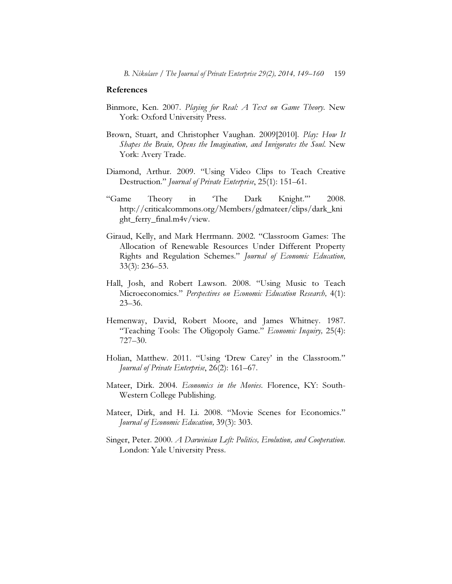#### References

- Binmore, Ken. 2007. Playing for Real: A Text on Game Theory. New York: Oxford University Press.
- Brown, Stuart, and Christopher Vaughan. 2009[2010]. Play: How It Shapes the Brain, Opens the Imagination, and Invigorates the Soul. New York: Avery Trade.
- Diamond, Arthur. 2009. "Using Video Clips to Teach Creative Destruction." Journal of Private Enterprise, 25(1): 151–61.
- "Game Theory in 'The Dark Knight.'" 2008. http://criticalcommons.org/Members/gdmateer/clips/dark\_kni ght\_ferry\_final.m4v/view.
- Giraud, Kelly, and Mark Herrmann. 2002. "Classroom Games: The Allocation of Renewable Resources Under Different Property Rights and Regulation Schemes." Journal of Economic Education, 33(3): 236–53.
- Hall, Josh, and Robert Lawson. 2008. "Using Music to Teach Microeconomics." Perspectives on Economic Education Research, 4(1): 23–36.
- Hemenway, David, Robert Moore, and James Whitney. 1987. "Teaching Tools: The Oligopoly Game." *Economic Inquiry*, 25(4): 727–30.
- Holian, Matthew. 2011. "Using 'Drew Carey' in the Classroom." Journal of Private Enterprise, 26(2): 161–67.
- Mateer, Dirk. 2004. Economics in the Movies. Florence, KY: South-Western College Publishing.
- Mateer, Dirk, and H. Li. 2008. "Movie Scenes for Economics." Journal of Economic Education, 39(3): 303.
- Singer, Peter. 2000. *A Darwinian Left: Politics, Evolution, and Cooperation*. London: Yale University Press.